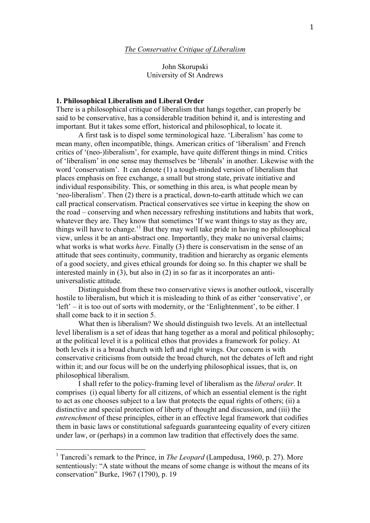John Skorupski University of St Andrews

### **1. Philosophical Liberalism and Liberal Order**

There is a philosophical critique of liberalism that hangs together, can properly be said to be conservative, has a considerable tradition behind it, and is interesting and important. But it takes some effort, historical and philosophical, to locate it.

A first task is to dispel some terminological haze. 'Liberalism' has come to mean many, often incompatible, things. American critics of 'liberalism' and French critics of '(neo-)liberalism', for example, have quite different things in mind. Critics of 'liberalism' in one sense may themselves be 'liberals' in another. Likewise with the word 'conservatism'. It can denote (1) a tough-minded version of liberalism that places emphasis on free exchange, a small but strong state, private initiative and individual responsibility. This, or something in this area, is what people mean by 'neo-liberalism'. Then (2) there is a practical, down-to-earth attitude which we can call practical conservatism. Practical conservatives see virtue in keeping the show on the road – conserving and when necessary refreshing institutions and habits that work, whatever they are. They know that sometimes 'If we want things to stay as they are, things will have to change.' <sup>1</sup> But they may well take pride in having no philosophical view, unless it be an anti-abstract one. Importantly, they make no universal claims; what works is what works *here*. Finally (3) there is conservatism in the sense of an attitude that sees continuity, community, tradition and hierarchy as organic elements of a good society, and gives ethical grounds for doing so. In this chapter we shall be interested mainly in (3), but also in (2) in so far as it incorporates an antiuniversalistic attitude.

Distinguished from these two conservative views is another outlook, viscerally hostile to liberalism, but which it is misleading to think of as either 'conservative', or 'left' – it is too out of sorts with modernity, or the 'Enlightenment', to be either. I shall come back to it in section 5.

What then is liberalism? We should distinguish two levels. At an intellectual level liberalism is a set of ideas that hang together as a moral and political philosophy; at the political level it is a political ethos that provides a framework for policy. At both levels it is a broad church with left and right wings. Our concern is with conservative criticisms from outside the broad church, not the debates of left and right within it; and our focus will be on the underlying philosophical issues, that is, on philosophical liberalism.

I shall refer to the policy-framing level of liberalism as the *liberal order*. It comprises (i) equal liberty for all citizens, of which an essential element is the right to act as one chooses subject to a law that protects the equal rights of others; (ii) a distinctive and special protection of liberty of thought and discussion, and (iii) the *entrenchment* of these principles, either in an effective legal framework that codifies them in basic laws or constitutional safeguards guaranteeing equality of every citizen under law, or (perhaps) in a common law tradition that effectively does the same.

 <sup>1</sup> Tancredi's remark to the Prince, in *The Leopard* (Lampedusa, 1960, p. 27). More sententiously: "A state without the means of some change is without the means of its conservation" Burke, 1967 (1790), p. 19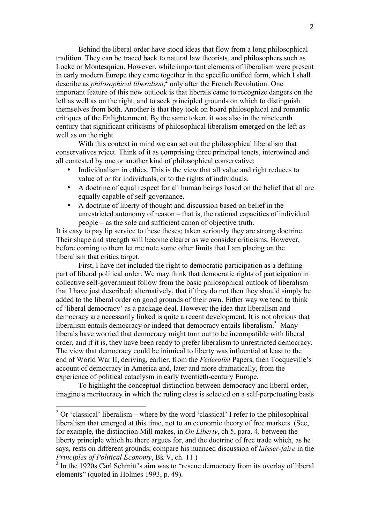Behind the liberal order have stood ideas that flow from a long philosophical tradition. They can be traced back to natural law theorists, and philosophers such as Locke or Montesquieu. However, while important elements of liberalism were present in early modern Europe they came together in the specific unified form, which I shall describe as *philosophical liberalism*, <sup>2</sup> only after the French Revolution. One important feature of this new outlook is that liberals came to recognize dangers on the left as well as on the right, and to seek principled grounds on which to distinguish themselves from both. Another is that they took on board philosophical and romantic critiques of the Enlightenment. By the same token, it was also in the nineteenth century that significant criticisms of philosophical liberalism emerged on the left as well as on the right.

With this context in mind we can set out the philosophical liberalism that conservatives reject. Think of it as comprising three principal tenets, intertwined and all contested by one or another kind of philosophical conservative:

- Individualism in ethics. This is the view that all value and right reduces to value of or for individuals, or to the rights of individuals.
- A doctrine of equal respect for all human beings based on the belief that all are equally capable of self-governance.
- A doctrine of liberty of thought and discussion based on belief in the unrestricted autonomy of reason – that is, the rational capacities of individual people – as the sole and sufficient canon of objective truth.

It is easy to pay lip service to these theses; taken seriously they are strong doctrine. Their shape and strength will become clearer as we consider criticisms. However, before coming to them let me note some other limits that I am placing on the liberalism that critics target.

First, I have not included the right to democratic participation as a defining part of liberal political order. We may think that democratic rights of participation in collective self-government follow from the basic philosophical outlook of liberalism that I have just described; alternatively, that if they do not then they should simply be added to the liberal order on good grounds of their own. Either way we tend to think of 'liberal democracy' as a package deal. However the idea that liberalism and democracy are necessarily linked is quite a recent development. It is not obvious that liberalism entails democracy or indeed that democracy entails liberalism.<sup>3</sup> Many liberals have worried that democracy might turn out to be incompatible with liberal order, and if it is, they have been ready to prefer liberalism to unrestricted democracy. The view that democracy could be inimical to liberty was influential at least to the end of World War II, deriving, earlier, from the *Federalist* Papers, then Tocqueville's account of democracy in America and, later and more dramatically, from the experience of political cataclysm in early twentieth-century Europe.

To highlight the conceptual distinction between democracy and liberal order, imagine a meritocracy in which the ruling class is selected on a self-perpetuating basis

 $2$  Or 'classical' liberalism – where by the word 'classical' I refer to the philosophical liberalism that emerged at this time, not to an economic theory of free markets. (See, for example, the distinction Mill makes, in *On Liberty*, ch 5, para. 4, between the liberty principle which he there argues for, and the doctrine of free trade which, as he says, rests on different grounds; compare his nuanced discussion of *laisser-faire* in the *Principles of Political Economy*, Bk V, ch. 11.)

<sup>&</sup>lt;sup>3</sup> In the 1920s Carl Schmitt's aim was to "rescue democracy from its overlay of liberal elements" (quoted in Holmes 1993, p. 49).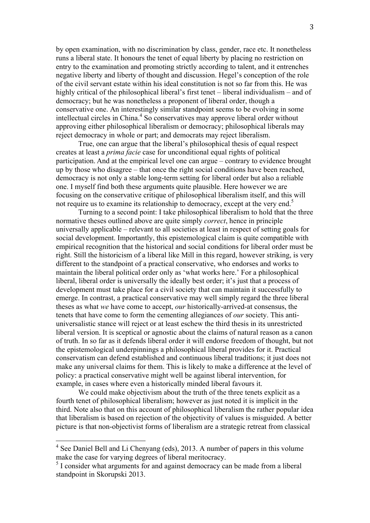by open examination, with no discrimination by class, gender, race etc. It nonetheless runs a liberal state. It honours the tenet of equal liberty by placing no restriction on entry to the examination and promoting strictly according to talent, and it entrenches negative liberty and liberty of thought and discussion. Hegel's conception of the role of the civil servant estate within his ideal constitution is not so far from this. He was highly critical of the philosophical liberal's first tenet – liberal individualism – and of democracy; but he was nonetheless a proponent of liberal order, though a conservative one. An interestingly similar standpoint seems to be evolving in some intellectual circles in China.<sup>4</sup> So conservatives may approve liberal order without approving either philosophical liberalism or democracy; philosophical liberals may reject democracy in whole or part; and democrats may reject liberalism.

True, one can argue that the liberal's philosophical thesis of equal respect creates at least a *prima facie* case for unconditional equal rights of political participation. And at the empirical level one can argue – contrary to evidence brought up by those who disagree – that once the right social conditions have been reached, democracy is not only a stable long-term setting for liberal order but also a reliable one. I myself find both these arguments quite plausible. Here however we are focusing on the conservative critique of philosophical liberalism itself, and this will not require us to examine its relationship to democracy, except at the very end.<sup>5</sup>

Turning to a second point: I take philosophical liberalism to hold that the three normative theses outlined above are quite simply *correct*, hence in principle universally applicable – relevant to all societies at least in respect of setting goals for social development. Importantly, this epistemological claim is quite compatible with empirical recognition that the historical and social conditions for liberal order must be right. Still the historicism of a liberal like Mill in this regard, however striking, is very different to the standpoint of a practical conservative, who endorses and works to maintain the liberal political order only as 'what works here.' For a philosophical liberal, liberal order is universally the ideally best order; it's just that a process of development must take place for a civil society that can maintain it successfully to emerge. In contrast, a practical conservative may well simply regard the three liberal theses as what *we* have come to accept, *our* historically-arrived-at consensus, the tenets that have come to form the cementing allegiances of *our* society. This antiuniversalistic stance will reject or at least eschew the third thesis in its unrestricted liberal version. It is sceptical or agnostic about the claims of natural reason as a canon of truth. In so far as it defends liberal order it will endorse freedom of thought, but not the epistemological underpinnings a philosophical liberal provides for it. Practical conservatism can defend established and continuous liberal traditions; it just does not make any universal claims for them. This is likely to make a difference at the level of policy: a practical conservative might well be against liberal intervention, for example, in cases where even a historically minded liberal favours it.

We could make objectivism about the truth of the three tenets explicit as a fourth tenet of philosophical liberalism; however as just noted it is implicit in the third. Note also that on this account of philosophical liberalism the rather popular idea that liberalism is based on rejection of the objectivity of values is misguided. A better picture is that non-objectivist forms of liberalism are a strategic retreat from classical

 <sup>4</sup> See Daniel Bell and Li Chenyang (eds), 2013. A number of papers in this volume make the case for varying degrees of liberal meritocracy.

<sup>&</sup>lt;sup>5</sup> I consider what arguments for and against democracy can be made from a liberal standpoint in Skorupski 2013.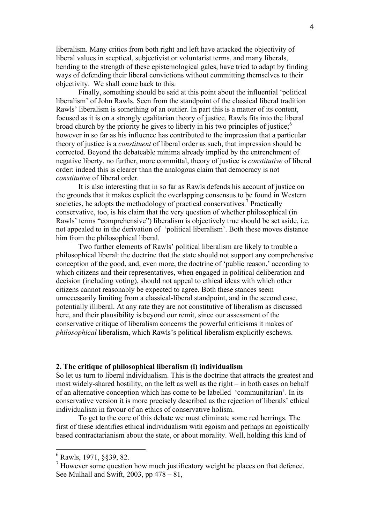liberalism. Many critics from both right and left have attacked the objectivity of liberal values in sceptical, subjectivist or voluntarist terms, and many liberals, bending to the strength of these epistemological gales, have tried to adapt by finding ways of defending their liberal convictions without committing themselves to their objectivity. We shall come back to this.

Finally, something should be said at this point about the influential 'political liberalism' of John Rawls. Seen from the standpoint of the classical liberal tradition Rawls' liberalism is something of an outlier. In part this is a matter of its content, focused as it is on a strongly egalitarian theory of justice. Rawls fits into the liberal broad church by the priority he gives to liberty in his two principles of justice; 6 however in so far as his influence has contributed to the impression that a particular theory of justice is a *constituent* of liberal order as such, that impression should be corrected. Beyond the debateable minima already implied by the entrenchment of negative liberty, no further, more committal, theory of justice is *constitutive* of liberal order: indeed this is clearer than the analogous claim that democracy is not *constitutive* of liberal order.

It is also interesting that in so far as Rawls defends his account of justice on the grounds that it makes explicit the overlapping consensus to be found in Western societies, he adopts the methodology of practical conservatives.<sup>7</sup> Practically conservative, too, is his claim that the very question of whether philosophical (in Rawls' terms "comprehensive") liberalism is objectively true should be set aside, i.e. not appealed to in the derivation of 'political liberalism'. Both these moves distance him from the philosophical liberal.

Two further elements of Rawls' political liberalism are likely to trouble a philosophical liberal: the doctrine that the state should not support any comprehensive conception of the good, and, even more, the doctrine of 'public reason,' according to which citizens and their representatives, when engaged in political deliberation and decision (including voting), should not appeal to ethical ideas with which other citizens cannot reasonably be expected to agree. Both these stances seem unnecessarily limiting from a classical-liberal standpoint, and in the second case, potentially illiberal. At any rate they are not constitutive of liberalism as discussed here, and their plausibility is beyond our remit, since our assessment of the conservative critique of liberalism concerns the powerful criticisms it makes of *philosophical* liberalism, which Rawls's political liberalism explicitly eschews.

### **2. The critique of philosophical liberalism (i) individualism**

So let us turn to liberal individualism. This is the doctrine that attracts the greatest and most widely-shared hostility, on the left as well as the right – in both cases on behalf of an alternative conception which has come to be labelled 'communitarian'. In its conservative version it is more precisely described as the rejection of liberals' ethical individualism in favour of an ethics of conservative holism.

To get to the core of this debate we must eliminate some red herrings. The first of these identifies ethical individualism with egoism and perhaps an egoistically based contractarianism about the state, or about morality. Well, holding this kind of

 <sup>6</sup> Rawls, 1971, §§39, 82.

<sup>7</sup> However some question how much justificatory weight he places on that defence. See Mulhall and Swift,  $2003$ , pp  $478 - 81$ ,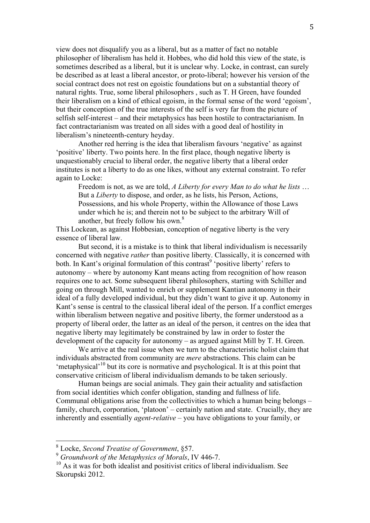view does not disqualify you as a liberal, but as a matter of fact no notable philosopher of liberalism has held it. Hobbes, who did hold this view of the state, is sometimes described as a liberal, but it is unclear why. Locke, in contrast, can surely be described as at least a liberal ancestor, or proto-liberal; however his version of the social contract does not rest on egoistic foundations but on a substantial theory of natural rights. True, some liberal philosophers , such as T. H Green, have founded their liberalism on a kind of ethical egoism, in the formal sense of the word 'egoism', but their conception of the true interests of the self is very far from the picture of selfish self-interest – and their metaphysics has been hostile to contractarianism. In fact contractarianism was treated on all sides with a good deal of hostility in liberalism's nineteenth-century heyday.

Another red herring is the idea that liberalism favours 'negative' as against 'positive' liberty. Two points here. In the first place, though negative liberty is unquestionably crucial to liberal order, the negative liberty that a liberal order institutes is not a liberty to do as one likes, without any external constraint. To refer again to Locke:

Freedom is not, as we are told, *A Liberty for every Man to do what he lists* … But a *Liberty* to dispose, and order, as he lists, his Person, Actions, Possessions, and his whole Property, within the Allowance of those Laws under which he is; and therein not to be subject to the arbitrary Will of another, but freely follow his own.<sup>8</sup>

This Lockean, as against Hobbesian, conception of negative liberty is the very essence of liberal law.

But second, it is a mistake is to think that liberal individualism is necessarily concerned with negative *rather* than positive liberty. Classically, it is concerned with both. In Kant's original formulation of this contrast<sup>9</sup> 'positive liberty' refers to autonomy – where by autonomy Kant means acting from recognition of how reason requires one to act. Some subsequent liberal philosophers, starting with Schiller and going on through Mill, wanted to enrich or supplement Kantian autonomy in their ideal of a fully developed individual, but they didn't want to give it up. Autonomy in Kant's sense is central to the classical liberal ideal of the person. If a conflict emerges within liberalism between negative and positive liberty, the former understood as a property of liberal order, the latter as an ideal of the person, it centres on the idea that negative liberty may legitimately be constrained by law in order to foster the development of the capacity for autonomy – as argued against Mill by T. H. Green.

We arrive at the real issue when we turn to the characteristic holist claim that individuals abstracted from community are *mere* abstractions. This claim can be 'metaphysical'10 but its core is normative and psychological. It is at this point that conservative criticism of liberal individualism demands to be taken seriously.

Human beings are social animals. They gain their actuality and satisfaction from social identities which confer obligation, standing and fullness of life. Communal obligations arise from the collectivities to which a human being belongs – family, church, corporation, 'platoon' – certainly nation and state. Crucially, they are inherently and essentially *agent-relative* – you have obligations to your family, or

 <sup>8</sup> Locke, *Second Treatise of Government*, §57.

<sup>9</sup> *Groundwork of the Metaphysics of Morals*, IV 446-7.

 $10$  As it was for both idealist and positivist critics of liberal individualism. See Skorupski 2012.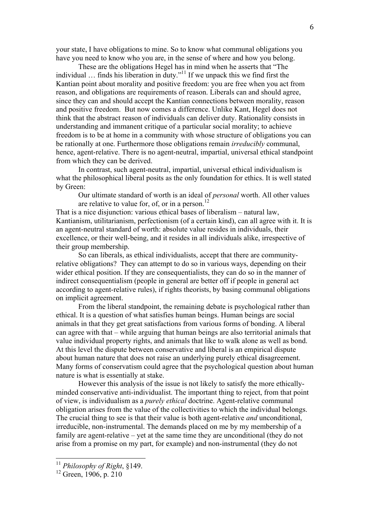your state, I have obligations to mine. So to know what communal obligations you have you need to know who you are, in the sense of where and how you belong.

These are the obligations Hegel has in mind when he asserts that "The individual  $\ldots$  finds his liberation in duty.<sup> $\ddot{m}$ 1 If we unpack this we find first the</sup> Kantian point about morality and positive freedom: you are free when you act from reason, and obligations are requirements of reason. Liberals can and should agree, since they can and should accept the Kantian connections between morality, reason and positive freedom. But now comes a difference. Unlike Kant, Hegel does not think that the abstract reason of individuals can deliver duty. Rationality consists in understanding and immanent critique of a particular social morality; to achieve freedom is to be at home in a community with whose structure of obligations you can be rationally at one. Furthermore those obligations remain *irreducibly* communal, hence, agent-relative. There is no agent-neutral, impartial, universal ethical standpoint from which they can be derived.

In contrast, such agent-neutral, impartial, universal ethical individualism is what the philosophical liberal posits as the only foundation for ethics. It is well stated by Green:

Our ultimate standard of worth is an ideal of *personal* worth. All other values are relative to value for, of, or in a person.<sup>12</sup>

That is a nice disjunction: various ethical bases of liberalism – natural law, Kantianism, utilitarianism, perfectionism (of a certain kind), can all agree with it. It is an agent-neutral standard of worth: absolute value resides in individuals, their excellence, or their well-being, and it resides in all individuals alike, irrespective of their group membership.

So can liberals, as ethical individualists, accept that there are communityrelative obligations? They can attempt to do so in various ways, depending on their wider ethical position. If they are consequentialists, they can do so in the manner of indirect consequentialism (people in general are better off if people in general act according to agent-relative rules), if rights theorists, by basing communal obligations on implicit agreement.

From the liberal standpoint, the remaining debate is psychological rather than ethical. It is a question of what satisfies human beings. Human beings are social animals in that they get great satisfactions from various forms of bonding. A liberal can agree with that – while arguing that human beings are also territorial animals that value individual property rights, and animals that like to walk alone as well as bond. At this level the dispute between conservative and liberal is an empirical dispute about human nature that does not raise an underlying purely ethical disagreement. Many forms of conservatism could agree that the psychological question about human nature is what is essentially at stake.

However this analysis of the issue is not likely to satisfy the more ethicallyminded conservative anti-individualist. The important thing to reject, from that point of view, is individualism as a *purely ethical* doctrine. Agent-relative communal obligation arises from the value of the collectivities to which the individual belongs. The crucial thing to see is that their value is both agent-relative *and* unconditional, irreducible, non-instrumental. The demands placed on me by my membership of a family are agent-relative – yet at the same time they are unconditional (they do not arise from a promise on my part, for example) and non-instrumental (they do not

 <sup>11</sup> *Philosophy of Right*, §149.

 $12$  Green, 1906, p. 210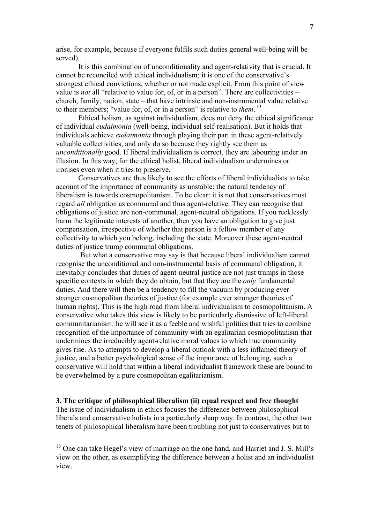arise, for example, because if everyone fulfils such duties general well-being will be served).

It is this combination of unconditionality and agent-relativity that is crucial. It cannot be reconciled with ethical individualism; it is one of the conservative's strongest ethical convictions, whether or not made explicit. From this point of view value is *not* all "relative to value for, of, or in a person". There are collectivities – church, family, nation, state – that have intrinsic and non-instrumental value relative to their members; "value for, of, or in a person" is relative to *them*. 13

Ethical holism, as against individualism, does not deny the ethical significance of individual *eudaimonia* (well-being, individual self-realisation). But it holds that individuals achieve *eudaimonia* through playing their part in these agent-relatively valuable collectivities, and only do so because they rightly see them as *unconditionally* good. If liberal individualism is correct, they are labouring under an illusion. In this way, for the ethical holist, liberal individualism undermines or ironises even when it tries to preserve.

Conservatives are thus likely to see the efforts of liberal individualists to take account of the importance of community as unstable: the natural tendency of liberalism is towards cosmopolitanism. To be clear: it is not that conservatives must regard *all* obligation as communal and thus agent-relative. They can recognise that obligations of justice are non-communal, agent-neutral obligations. If you recklessly harm the legitimate interests of another, then you have an obligation to give just compensation, irrespective of whether that person is a fellow member of any collectivity to which you belong, including the state. Moreover these agent-neutral duties of justice trump communal obligations.

But what a conservative may say is that because liberal individualism cannot recognise the unconditional and non-instrumental basis of communal obligation, it inevitably concludes that duties of agent-neutral justice are not just trumps in those specific contexts in which they do obtain, but that they are the *only* fundamental duties. And there will then be a tendency to fill the vacuum by producing ever stronger cosmopolitan theories of justice (for example ever stronger theories of human rights). This is the high road from liberal individualism to cosmopolitanism. A conservative who takes this view is likely to be particularly dismissive of left-liberal communitarianism: he will see it as a feeble and wishful politics that tries to combine recognition of the importance of community with an egalitarian cosmopolitanism that undermines the irreducibly agent-relative moral values to which true community gives rise. As to attempts to develop a liberal outlook with a less inflamed theory of justice, and a better psychological sense of the importance of belonging, such a conservative will hold that within a liberal individualist framework these are bound to be overwhelmed by a pure cosmopolitan egalitarianism.

### **3. The critique of philosophical liberalism (ii) equal respect and free thought**

The issue of individualism in ethics focuses the difference between philosophical liberals and conservative holists in a particularly sharp way. In contrast, the other two tenets of philosophical liberalism have been troubling not just to conservatives but to

<sup>&</sup>lt;sup>13</sup> One can take Hegel's view of marriage on the one hand, and Harriet and J. S. Mill's view on the other, as exemplifying the difference between a holist and an individualist view.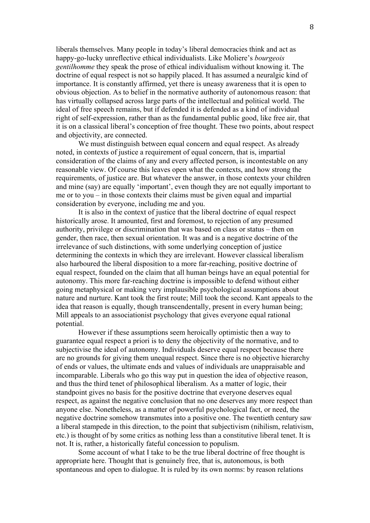liberals themselves. Many people in today's liberal democracies think and act as happy-go-lucky unreflective ethical individualists. Like Moliere's *bourgeois gentilhomme* they speak the prose of ethical individualism without knowing it. The doctrine of equal respect is not so happily placed. It has assumed a neuralgic kind of importance. It is constantly affirmed, yet there is uneasy awareness that it is open to obvious objection. As to belief in the normative authority of autonomous reason: that has virtually collapsed across large parts of the intellectual and political world. The ideal of free speech remains, but if defended it is defended as a kind of individual right of self-expression, rather than as the fundamental public good, like free air, that it is on a classical liberal's conception of free thought. These two points, about respect and objectivity, are connected.

We must distinguish between equal concern and equal respect. As already noted, in contexts of justice a requirement of equal concern, that is, impartial consideration of the claims of any and every affected person, is incontestable on any reasonable view. Of course this leaves open what the contexts, and how strong the requirements, of justice are. But whatever the answer, in those contexts your children and mine (say) are equally 'important', even though they are not equally important to me or to you – in those contexts their claims must be given equal and impartial consideration by everyone, including me and you.

It is also in the context of justice that the liberal doctrine of equal respect historically arose. It amounted, first and foremost, to rejection of any presumed authority, privilege or discrimination that was based on class or status – then on gender, then race, then sexual orientation. It was and is a negative doctrine of the irrelevance of such distinctions, with some underlying conception of justice determining the contexts in which they are irrelevant. However classical liberalism also harboured the liberal disposition to a more far-reaching, positive doctrine of equal respect, founded on the claim that all human beings have an equal potential for autonomy. This more far-reaching doctrine is impossible to defend without either going metaphysical or making very implausible psychological assumptions about nature and nurture. Kant took the first route; Mill took the second. Kant appeals to the idea that reason is equally, though transcendentally, present in every human being; Mill appeals to an associationist psychology that gives everyone equal rational potential.

However if these assumptions seem heroically optimistic then a way to guarantee equal respect a priori is to deny the objectivity of the normative, and to subjectivise the ideal of autonomy. Individuals deserve equal respect because there are no grounds for giving them unequal respect. Since there is no objective hierarchy of ends or values, the ultimate ends and values of individuals are unappraisable and incomparable. Liberals who go this way put in question the idea of objective reason, and thus the third tenet of philosophical liberalism. As a matter of logic, their standpoint gives no basis for the positive doctrine that everyone deserves equal respect, as against the negative conclusion that no one deserves any more respect than anyone else. Nonetheless, as a matter of powerful psychological fact, or need, the negative doctrine somehow transmutes into a positive one. The twentieth century saw a liberal stampede in this direction, to the point that subjectivism (nihilism, relativism, etc.) is thought of by some critics as nothing less than a constitutive liberal tenet. It is not. It is, rather, a historically fateful concession to populism.

Some account of what I take to be the true liberal doctrine of free thought is appropriate here. Thought that is genuinely free, that is, autonomous, is both spontaneous and open to dialogue. It is ruled by its own norms: by reason relations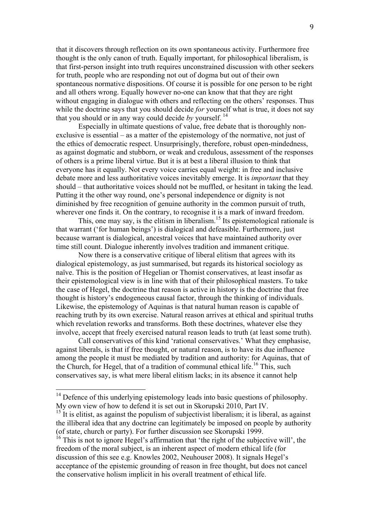that it discovers through reflection on its own spontaneous activity. Furthermore free thought is the only canon of truth. Equally important, for philosophical liberalism, is that first-person insight into truth requires unconstrained discussion with other seekers for truth, people who are responding not out of dogma but out of their own spontaneous normative dispositions. Of course it is possible for one person to be right and all others wrong. Equally however no-one can know that that they are right without engaging in dialogue with others and reflecting on the others' responses. Thus while the doctrine says that you should decide *for* yourself what is true, it does not say that you should or in any way could decide *by* yourself. <sup>14</sup>

Especially in ultimate questions of value, free debate that is thoroughly nonexclusive is essential – as a matter of the epistemology of the normative, not just of the ethics of democratic respect. Unsurprisingly, therefore, robust open-mindedness, as against dogmatic and stubborn, or weak and credulous, assessment of the responses of others is a prime liberal virtue. But it is at best a liberal illusion to think that everyone has it equally. Not every voice carries equal weight: in free and inclusive debate more and less authoritative voices inevitably emerge. It is *important* that they should – that authoritative voices should not be muffled, or hesitant in taking the lead. Putting it the other way round, one's personal independence or dignity is not diminished by free recognition of genuine authority in the common pursuit of truth, wherever one finds it. On the contrary, to recognise it is a mark of inward freedom.

This, one may say, is the elitism in liberalism.<sup>15</sup> Its epistemological rationale is that warrant ('for human beings') is dialogical and defeasible. Furthermore, just because warrant is dialogical, ancestral voices that have maintained authority over time still count. Dialogue inherently involves tradition and immanent critique.

Now there is a conservative critique of liberal elitism that agrees with its dialogical epistemology, as just summarised, but regards its historical sociology as naïve. This is the position of Hegelian or Thomist conservatives, at least insofar as their epistemological view is in line with that of their philosophical masters. To take the case of Hegel, the doctrine that reason is active in history is the doctrine that free thought is history's endogeneous causal factor, through the thinking of individuals. Likewise, the epistemology of Aquinas is that natural human reason is capable of reaching truth by its own exercise. Natural reason arrives at ethical and spiritual truths which revelation reworks and transforms. Both these doctrines, whatever else they involve, accept that freely exercised natural reason leads to truth (at least some truth).

Call conservatives of this kind 'rational conservatives.' What they emphasise, against liberals, is that if free thought, or natural reason, is to have its due influence among the people it must be mediated by tradition and authority: for Aquinas, that of the Church, for Hegel, that of a tradition of communal ethical life.<sup>16</sup> This, such conservatives say, is what mere liberal elitism lacks; in its absence it cannot help

 $14$  Defence of this underlying epistemology leads into basic questions of philosophy. My own view of how to defend it is set out in Skorupski 2010, Part IV.

 $15$  It is elitist, as against the populism of subjectivist liberalism; it is liberal, as against the illiberal idea that any doctrine can legitimately be imposed on people by authority (of state, church or party). For further discussion see Skorupski 1999.

<sup>&</sup>lt;sup>16</sup> This is not to ignore Hegel's affirmation that 'the right of the subjective will', the freedom of the moral subject, is an inherent aspect of modern ethical life (for discussion of this see e.g. Knowles 2002, Neuhouser 2008). It signals Hegel's acceptance of the epistemic grounding of reason in free thought, but does not cancel the conservative holism implicit in his overall treatment of ethical life.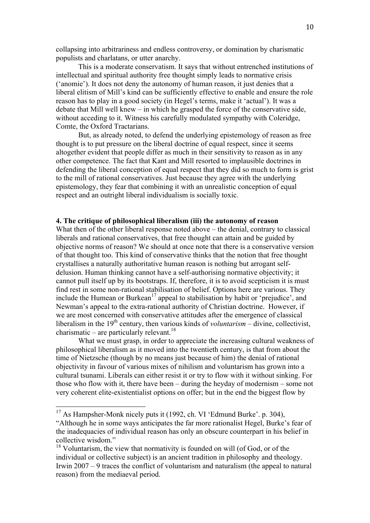collapsing into arbitrariness and endless controversy, or domination by charismatic populists and charlatans, or utter anarchy.

This is a moderate conservatism. It says that without entrenched institutions of intellectual and spiritual authority free thought simply leads to normative crisis ('anomie'). It does not deny the autonomy of human reason, it just denies that a liberal elitism of Mill's kind can be sufficiently effective to enable and ensure the role reason has to play in a good society (in Hegel's terms, make it 'actual'). It was a debate that Mill well knew – in which he grasped the force of the conservative side, without acceding to it. Witness his carefully modulated sympathy with Coleridge, Comte, the Oxford Tractarians.

But, as already noted, to defend the underlying epistemology of reason as free thought is to put pressure on the liberal doctrine of equal respect, since it seems altogether evident that people differ as much in their sensitivity to reason as in any other competence. The fact that Kant and Mill resorted to implausible doctrines in defending the liberal conception of equal respect that they did so much to form is grist to the mill of rational conservatives. Just because they agree with the underlying epistemology, they fear that combining it with an unrealistic conception of equal respect and an outright liberal individualism is socially toxic.

## **4. The critique of philosophical liberalism (iii) the autonomy of reason**

What then of the other liberal response noted above – the denial, contrary to classical liberals and rational conservatives, that free thought can attain and be guided by objective norms of reason? We should at once note that there is a conservative version of that thought too. This kind of conservative thinks that the notion that free thought crystallises a naturally authoritative human reason is nothing but arrogant selfdelusion. Human thinking cannot have a self-authorising normative objectivity; it cannot pull itself up by its bootstraps. If, therefore, it is to avoid scepticism it is must find rest in some non-rational stabilisation of belief. Options here are various. They include the Humean or Burkean<sup>17</sup> appeal to stabilisation by habit or 'prejudice', and Newman's appeal to the extra-rational authority of Christian doctrine. However, if we are most concerned with conservative attitudes after the emergence of classical liberalism in the  $19<sup>th</sup>$  century, then various kinds of *voluntarism* – divine, collectivist, charismatic – are particularly relevant.<sup>18</sup>

What we must grasp, in order to appreciate the increasing cultural weakness of philosophical liberalism as it moved into the twentieth century, is that from about the time of Nietzsche (though by no means just because of him) the denial of rational objectivity in favour of various mixes of nihilism and voluntarism has grown into a cultural tsunami. Liberals can either resist it or try to flow with it without sinking. For those who flow with it, there have been – during the heyday of modernism – some not very coherent elite-existentialist options on offer; but in the end the biggest flow by

 $17$  As Hampsher-Monk nicely puts it (1992, ch. VI 'Edmund Burke', p. 304),

<sup>&</sup>quot;Although he in some ways anticipates the far more rationalist Hegel, Burke's fear of the inadequacies of individual reason has only an obscure counterpart in his belief in collective wisdom."

<sup>&</sup>lt;sup>18</sup> Voluntarism, the view that normativity is founded on will (of God, or of the individual or collective subject) is an ancient tradition in philosophy and theology. Irwin 2007 – 9 traces the conflict of voluntarism and naturalism (the appeal to natural reason) from the mediaeval period.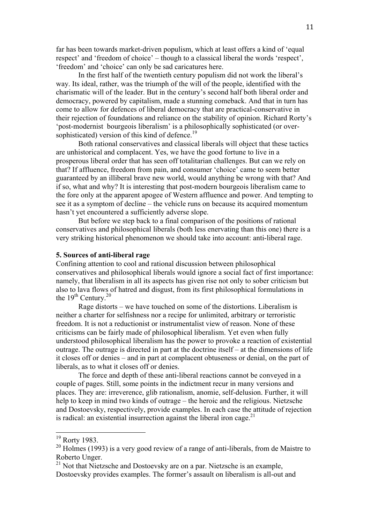far has been towards market-driven populism, which at least offers a kind of 'equal respect' and 'freedom of choice' – though to a classical liberal the words 'respect', 'freedom' and 'choice' can only be sad caricatures here.

In the first half of the twentieth century populism did not work the liberal's way. Its ideal, rather, was the triumph of the will of the people, identified with the charismatic will of the leader. But in the century's second half both liberal order and democracy, powered by capitalism, made a stunning comeback. And that in turn has come to allow for defences of liberal democracy that are practical-conservative in their rejection of foundations and reliance on the stability of opinion. Richard Rorty's 'post-modernist bourgeois liberalism' is a philosophically sophisticated (or oversophisticated) version of this kind of defence.<sup>19</sup>

Both rational conservatives and classical liberals will object that these tactics are unhistorical and complacent. Yes, we have the good fortune to live in a prosperous liberal order that has seen off totalitarian challenges. But can we rely on that? If affluence, freedom from pain, and consumer 'choice' came to seem better guaranteed by an illiberal brave new world, would anything be wrong with that? And if so, what and why? It is interesting that post-modern bourgeois liberalism came to the fore only at the apparent apogee of Western affluence and power. And tempting to see it as a symptom of decline – the vehicle runs on because its acquired momentum hasn't yet encountered a sufficiently adverse slope.

But before we step back to a final comparison of the positions of rational conservatives and philosophical liberals (both less enervating than this one) there is a very striking historical phenomenon we should take into account: anti-liberal rage.

# **5. Sources of anti-liberal rage**

Confining attention to cool and rational discussion between philosophical conservatives and philosophical liberals would ignore a social fact of first importance: namely, that liberalism in all its aspects has given rise not only to sober criticism but also to lava flows of hatred and disgust, from its first philosophical formulations in the  $19<sup>th</sup>$  Century.<sup>20</sup>

Rage distorts – we have touched on some of the distortions. Liberalism is neither a charter for selfishness nor a recipe for unlimited, arbitrary or terroristic freedom. It is not a reductionist or instrumentalist view of reason. None of these criticisms can be fairly made of philosophical liberalism. Yet even when fully understood philosophical liberalism has the power to provoke a reaction of existential outrage. The outrage is directed in part at the doctrine itself – at the dimensions of life it closes off or denies – and in part at complacent obtuseness or denial, on the part of liberals, as to what it closes off or denies.

The force and depth of these anti-liberal reactions cannot be conveyed in a couple of pages. Still, some points in the indictment recur in many versions and places. They are: irreverence, glib rationalism, anomie, self-delusion. Further, it will help to keep in mind two kinds of outrage – the heroic and the religious. Nietzsche and Dostoevsky, respectively, provide examples. In each case the attitude of rejection is radical: an existential insurrection against the liberal iron cage.<sup>21</sup>

<sup>&</sup>lt;sup>19</sup> Rorty 1983.

<sup>&</sup>lt;sup>20</sup> Holmes (1993) is a very good review of a range of anti-liberals, from de Maistre to Roberto Unger.

<sup>&</sup>lt;sup>21</sup> Not that Nietzsche and Dostoevsky are on a par. Nietzsche is an example, Dostoevsky provides examples. The former's assault on liberalism is all-out and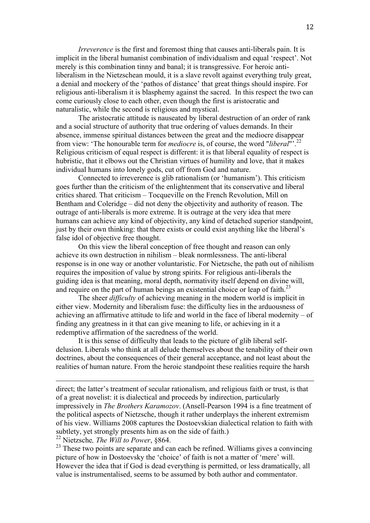*Irreverence* is the first and foremost thing that causes anti-liberals pain. It is implicit in the liberal humanist combination of individualism and equal 'respect'. Not merely is this combination tinny and banal; it is transgressive. For heroic antiliberalism in the Nietzschean mould, it is a slave revolt against everything truly great, a denial and mockery of the 'pathos of distance' that great things should inspire. For religious anti-liberalism it is blasphemy against the sacred. In this respect the two can come curiously close to each other, even though the first is aristocratic and naturalistic, while the second is religious and mystical.

The aristocratic attitude is nauseated by liberal destruction of an order of rank and a social structure of authority that true ordering of values demands. In their absence, immense spiritual distances between the great and the mediocre disappear from view: 'The honourable term for *mediocre* is, of course, the word "*liberal*"'.22 Religious criticism of equal respect is different: it is that liberal equality of respect is hubristic, that it elbows out the Christian virtues of humility and love, that it makes individual humans into lonely gods, cut off from God and nature.

Connected to irreverence is glib rationalism (or 'humanism'). This criticism goes further than the criticism of the enlightenment that its conservative and liberal critics shared. That criticism – Tocqueville on the French Revolution, Mill on Bentham and Coleridge – did not deny the objectivity and authority of reason. The outrage of anti-liberals is more extreme. It is outrage at the very idea that mere humans can achieve any kind of objectivity, any kind of detached superior standpoint, just by their own thinking: that there exists or could exist anything like the liberal's false idol of objective free thought.

On this view the liberal conception of free thought and reason can only achieve its own destruction in nihilism – bleak normlessness. The anti-liberal response is in one way or another voluntaristic. For Nietzsche, the path out of nihilism requires the imposition of value by strong spirits. For religious anti-liberals the guiding idea is that meaning, moral depth, normativity itself depend on divine will, and require on the part of human beings an existential choice or leap of faith.<sup>23</sup>

The sheer *difficulty* of achieving meaning in the modern world is implicit in either view. Modernity and liberalism fuse: the difficulty lies in the arduousness of achieving an affirmative attitude to life and world in the face of liberal modernity – of finding any greatness in it that can give meaning to life, or achieving in it a redemptive affirmation of the sacredness of the world.

It is this sense of difficulty that leads to the picture of glib liberal selfdelusion. Liberals who think at all delude themselves about the tenability of their own doctrines, about the consequences of their general acceptance, and not least about the realities of human nature. From the heroic standpoint these realities require the harsh

<u> 1989 - Andrea Santa Alemania, poeta esperanto-se esperanto-se esperanto-se esperanto-se esperanto-se esperan</u>

direct; the latter's treatment of secular rationalism, and religious faith or trust, is that of a great novelist: it is dialectical and proceeds by indirection, particularly impressively in *The Brothers Karamozov*. (Ansell-Pearson 1994 is a fine treatment of the political aspects of Nietzsche, though it rather underplays the inherent extremism of his view. Williams 2008 captures the Dostoevskian dialectical relation to faith with subtlety, yet strongly presents him as on the side of faith.)

<sup>22</sup> Nietzsche*, The Will to Power*, §864.

<sup>23</sup> These two points are separate and can each be refined. Williams gives a convincing picture of how in Dostoevsky the 'choice' of faith is not a matter of 'mere' will. However the idea that if God is dead everything is permitted, or less dramatically, all value is instrumentalised, seems to be assumed by both author and commentator.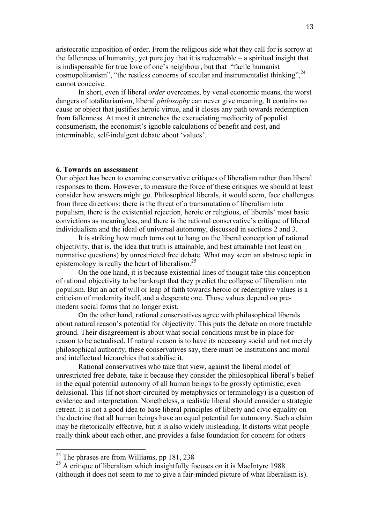aristocratic imposition of order. From the religious side what they call for is sorrow at the fallenness of humanity, yet pure joy that it is redeemable – a spiritual insight that is indispensable for true love of one's neighbour, but that "facile humanist cosmopolitanism", "the restless concerns of secular and instrumentalist thinking",<sup>24</sup> cannot conceive.

In short, even if liberal *order* overcomes, by venal economic means, the worst dangers of totalitarianism, liberal *philosophy* can never give meaning. It contains no cause or object that justifies heroic virtue, and it closes any path towards redemption from fallenness. At most it entrenches the excruciating mediocrity of populist consumerism, the economist's ignoble calculations of benefit and cost, and interminable, self-indulgent debate about 'values'.

### **6. Towards an assessment**

Our object has been to examine conservative critiques of liberalism rather than liberal responses to them. However, to measure the force of these critiques we should at least consider how answers might go. Philosophical liberals, it would seem, face challenges from three directions: there is the threat of a transmutation of liberalism into populism, there is the existential rejection, heroic or religious, of liberals' most basic convictions as meaningless, and there is the rational conservative's critique of liberal individualism and the ideal of universal autonomy, discussed in sections 2 and 3.

It is striking how much turns out to hang on the liberal conception of rational objectivity, that is, the idea that truth is attainable, and best attainable (not least on normative questions) by unrestricted free debate. What may seem an abstruse topic in epistemology is really the heart of liberalism.<sup>25</sup>

On the one hand, it is because existential lines of thought take this conception of rational objectivity to be bankrupt that they predict the collapse of liberalism into populism. But an act of will or leap of faith towards heroic or redemptive values is a criticism of modernity itself, and a desperate one. Those values depend on premodern social forms that no longer exist.

On the other hand, rational conservatives agree with philosophical liberals about natural reason's potential for objectivity. This puts the debate on more tractable ground. Their disagreement is about what social conditions must be in place for reason to be actualised. If natural reason is to have its necessary social and not merely philosophical authority, these conservatives say, there must be institutions and moral and intellectual hierarchies that stabilise it.

Rational conservatives who take that view, against the liberal model of unrestricted free debate, take it because they consider the philosophical liberal's belief in the equal potential autonomy of all human beings to be grossly optimistic, even delusional. This (if not short-circuited by metaphysics or terminology) is a question of evidence and interpretation. Nonetheless, a realistic liberal should consider a strategic retreat. It is not a good idea to base liberal principles of liberty and civic equality on the doctrine that all human beings have an equal potential for autonomy. Such a claim may be rhetorically effective, but it is also widely misleading. It distorts what people really think about each other, and provides a false foundation for concern for others

 $24$  The phrases are from Williams, pp 181, 238

 $25$  A critique of liberalism which insightfully focuses on it is MacIntyre 1988 (although it does not seem to me to give a fair-minded picture of what liberalism is).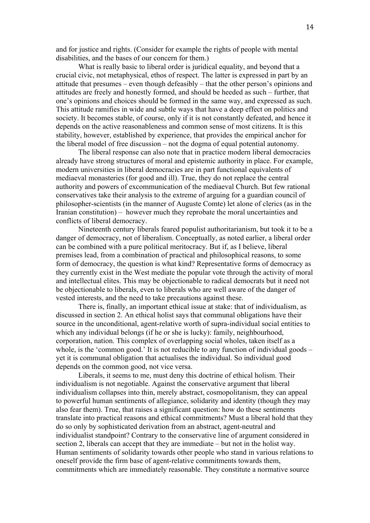and for justice and rights. (Consider for example the rights of people with mental disabilities, and the bases of our concern for them.)

What is really basic to liberal order is juridical equality, and beyond that a crucial civic, not metaphysical, ethos of respect. The latter is expressed in part by an attitude that presumes – even though defeasibly – that the other person's opinions and attitudes are freely and honestly formed, and should be heeded as such – further, that one's opinions and choices should be formed in the same way, and expressed as such. This attitude ramifies in wide and subtle ways that have a deep effect on politics and society. It becomes stable, of course, only if it is not constantly defeated, and hence it depends on the active reasonableness and common sense of most citizens. It is this stability, however, established by experience, that provides the empirical anchor for the liberal model of free discussion – not the dogma of equal potential autonomy.

The liberal response can also note that in practice modern liberal democracies already have strong structures of moral and epistemic authority in place. For example, modern universities in liberal democracies are in part functional equivalents of mediaeval monasteries (for good and ill). True, they do not replace the central authority and powers of excommunication of the mediaeval Church. But few rational conservatives take their analysis to the extreme of arguing for a guardian council of philosopher-scientists (in the manner of Auguste Comte) let alone of clerics (as in the Iranian constitution) – however much they reprobate the moral uncertainties and conflicts of liberal democracy.

Nineteenth century liberals feared populist authoritarianism, but took it to be a danger of democracy, not of liberalism. Conceptually, as noted earlier, a liberal order can be combined with a pure political meritocracy. But if, as I believe, liberal premises lead, from a combination of practical and philosophical reasons, to some form of democracy, the question is what kind? Representative forms of democracy as they currently exist in the West mediate the popular vote through the activity of moral and intellectual elites. This may be objectionable to radical democrats but it need not be objectionable to liberals, even to liberals who are well aware of the danger of vested interests, and the need to take precautions against these.

There is, finally, an important ethical issue at stake: that of individualism, as discussed in section 2. An ethical holist says that communal obligations have their source in the unconditional, agent-relative worth of supra-individual social entities to which any individual belongs (if he or she is lucky): family, neighbourhood, corporation, nation. This complex of overlapping social wholes, taken itself as a whole, is the 'common good.' It is not reducible to any function of individual goods – yet it is communal obligation that actualises the individual. So individual good depends on the common good, not vice versa.

Liberals, it seems to me, must deny this doctrine of ethical holism. Their individualism is not negotiable. Against the conservative argument that liberal individualism collapses into thin, merely abstract, cosmopolitanism, they can appeal to powerful human sentiments of allegiance, solidarity and identity (though they may also fear them). True, that raises a significant question: how do these sentiments translate into practical reasons and ethical commitments? Must a liberal hold that they do so only by sophisticated derivation from an abstract, agent-neutral and individualist standpoint? Contrary to the conservative line of argument considered in section 2, liberals can accept that they are immediate – but not in the holist way. Human sentiments of solidarity towards other people who stand in various relations to oneself provide the firm base of agent-relative commitments towards them, commitments which are immediately reasonable. They constitute a normative source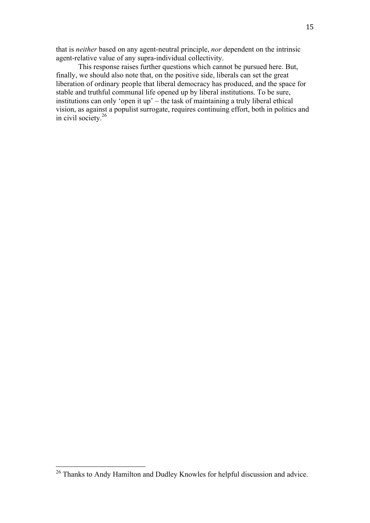that is *neither* based on any agent-neutral principle, *nor* dependent on the intrinsic agent-relative value of any supra-individual collectivity.

This response raises further questions which cannot be pursued here. But, finally, we should also note that, on the positive side, liberals can set the great liberation of ordinary people that liberal democracy has produced, and the space for stable and truthful communal life opened up by liberal institutions. To be sure, institutions can only 'open it up' – the task of maintaining a truly liberal ethical vision, as against a populist surrogate, requires continuing effort, both in politics and in civil society.<sup>26</sup>

<sup>&</sup>lt;sup>26</sup> Thanks to Andy Hamilton and Dudley Knowles for helpful discussion and advice.